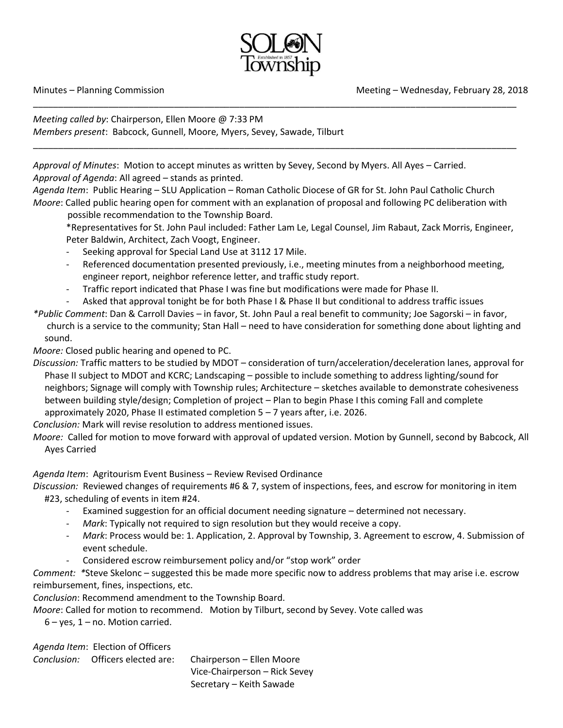

\_\_\_\_\_\_\_\_\_\_\_\_\_\_\_\_\_\_\_\_\_\_\_\_\_\_\_\_\_\_\_\_\_\_\_\_\_\_\_\_\_\_\_\_\_\_\_\_\_\_\_\_\_\_\_\_\_\_\_\_\_\_\_\_\_\_\_\_\_\_\_\_\_\_\_\_\_\_\_\_\_\_\_\_\_\_\_\_\_\_\_\_\_\_\_\_

\_\_\_\_\_\_\_\_\_\_\_\_\_\_\_\_\_\_\_\_\_\_\_\_\_\_\_\_\_\_\_\_\_\_\_\_\_\_\_\_\_\_\_\_\_\_\_\_\_\_\_\_\_\_\_\_\_\_\_\_\_\_\_\_\_\_\_\_\_\_\_\_\_\_\_\_\_\_\_\_\_\_\_\_\_\_\_\_\_\_\_\_\_\_\_\_

*Meeting called by*: Chairperson, Ellen Moore @ 7:33 PM *Members present*: Babcock, Gunnell, Moore, Myers, Sevey, Sawade, Tilburt

*Approval of Minutes*: Motion to accept minutes as written by Sevey, Second by Myers. All Ayes – Carried. *Approval of Agenda*: All agreed – stands as printed.

*Agenda Item*: Public Hearing – SLU Application – Roman Catholic Diocese of GR for St. John Paul Catholic Church *Moore*: Called public hearing open for comment with an explanation of proposal and following PC deliberation with

possible recommendation to the Township Board.

\*Representatives for St. John Paul included: Father Lam Le, Legal Counsel, Jim Rabaut, Zack Morris, Engineer, Peter Baldwin, Architect, Zach Voogt, Engineer.

- Seeking approval for Special Land Use at 3112 17 Mile.
- Referenced documentation presented previously, i.e., meeting minutes from a neighborhood meeting, engineer report, neighbor reference letter, and traffic study report.
- Traffic report indicated that Phase I was fine but modifications were made for Phase II.
- Asked that approval tonight be for both Phase I & Phase II but conditional to address traffic issues
- *\*Public Comment*: Dan & Carroll Davies in favor, St. John Paul a real benefit to community; Joe Sagorski in favor, church is a service to the community; Stan Hall – need to have consideration for something done about lighting and sound.

*Moore:* Closed public hearing and opened to PC.

*Discussion:* Traffic matters to be studied by MDOT – consideration of turn/acceleration/deceleration lanes, approval for Phase II subject to MDOT and KCRC; Landscaping – possible to include something to address lighting/sound for neighbors; Signage will comply with Township rules; Architecture – sketches available to demonstrate cohesiveness between building style/design; Completion of project – Plan to begin Phase I this coming Fall and complete approximately 2020, Phase II estimated completion  $5 - 7$  years after, i.e. 2026.

*Conclusion:* Mark will revise resolution to address mentioned issues.

*Moore:* Called for motion to move forward with approval of updated version. Motion by Gunnell, second by Babcock, All Ayes Carried

*Agenda Item*: Agritourism Event Business – Review Revised Ordinance

*Discussion:* Reviewed changes of requirements #6 & 7, system of inspections, fees, and escrow for monitoring in item #23, scheduling of events in item #24.

- Examined suggestion for an official document needing signature determined not necessary.
- *Mark*: Typically not required to sign resolution but they would receive a copy.
- *Mark*: Process would be: 1. Application, 2. Approval by Township, 3. Agreement to escrow, 4. Submission of event schedule.
- Considered escrow reimbursement policy and/or "stop work" order

*Comment: \**Steve Skelonc – suggested this be made more specific now to address problems that may arise i.e. escrow reimbursement, fines, inspections, etc.

*Conclusion*: Recommend amendment to the Township Board.

*Moore*: Called for motion to recommend. Motion by Tilburt, second by Sevey. Vote called was

 $6 - yes$ ,  $1 - no$ . Motion carried.

*Agenda Item*: Election of Officers

*Conclusion:* Officers elected are: Chairperson – Ellen Moore Vice-Chairperson – Rick Sevey Secretary – Keith Sawade